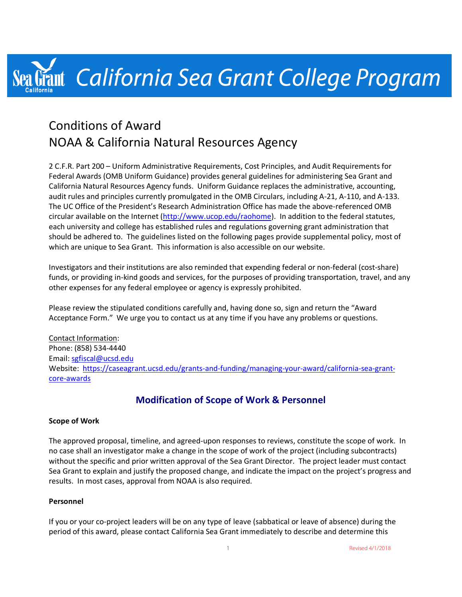# Frant California Sea Grant College Program

## Conditions of Award NOAA & California Natural Resources Agency

2 C.F.R. Part 200 – Uniform Administrative Requirements, Cost Principles, and Audit Requirements for Federal Awards (OMB Uniform Guidance) provides general guidelines for administering Sea Grant and California Natural Resources Agency funds. Uniform Guidance replaces the administrative, accounting, audit rules and principles currently promulgated in the OMB Circulars, including A-21, A-110, and A-133. The UC Office of the President's Research Administration Office has made the above-referenced OMB circular available on the Internet (http://www.ucop.edu/raohome). In addition to the federal statutes, each university and college has established rules and regulations governing grant administration that should be adhered to. The guidelines listed on the following pages provide supplemental policy, most of which are unique to Sea Grant. This information is also accessible on our website.

Investigators and their institutions are also reminded that expending federal or non-federal (cost-share) funds, or providing in-kind goods and services, for the purposes of providing transportation, travel, and any other expenses for any federal employee or agency is expressly prohibited.

Please review the stipulated conditions carefully and, having done so, sign and return the "Award Acceptance Form." We urge you to contact us at any time if you have any problems or questions.

Contact Information: Phone: (858) 534-4440 Email: sgfiscal@ucsd.edu Website: https://caseagrant.ucsd.edu/grants-and-funding/managing-your-award/california-sea-grantcore-awards

## **Modification of Scope of Work & Personnel**

#### **Scope of Work**

The approved proposal, timeline, and agreed-upon responses to reviews, constitute the scope of work. In no case shall an investigator make a change in the scope of work of the project (including subcontracts) without the specific and prior written approval of the Sea Grant Director. The project leader must contact Sea Grant to explain and justify the proposed change, and indicate the impact on the project's progress and results. In most cases, approval from NOAA is also required.

#### **Personnel**

If you or your co-project leaders will be on any type of leave (sabbatical or leave of absence) during the period of this award, please contact California Sea Grant immediately to describe and determine this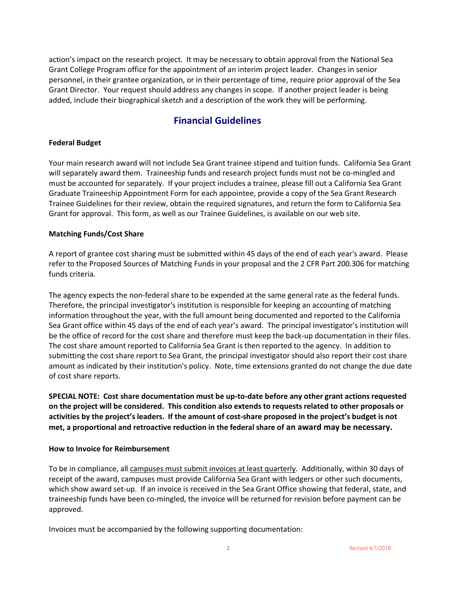action's impact on the research project. It may be necessary to obtain approval from the National Sea Grant College Program office for the appointment of an interim project leader. Changes in senior personnel, in their grantee organization, or in their percentage of time, require prior approval of the Sea Grant Director. Your request should address any changes in scope. If another project leader is being added, include their biographical sketch and a description of the work they will be performing.

## **Financial Guidelines**

#### **Federal Budget**

Your main research award will not include Sea Grant trainee stipend and tuition funds. California Sea Grant will separately award them. Traineeship funds and research project funds must not be co-mingled and must be accounted for separately. If your project includes a trainee, please fill out a California Sea Grant Graduate Traineeship Appointment Form for each appointee, provide a copy of the Sea Grant Research Trainee Guidelines for their review, obtain the required signatures, and return the form to California Sea Grant for approval. This form, as well as our Trainee Guidelines, is available on our web site.

#### **Matching Funds/Cost Share**

A report of grantee cost sharing must be submitted within 45 days of the end of each year's award. Please refer to the Proposed Sources of Matching Funds in your proposal and the 2 CFR Part 200.306 for matching funds criteria.

The agency expects the non-federal share to be expended at the same general rate as the federal funds. Therefore, the principal investigator's institution is responsible for keeping an accounting of matching information throughout the year, with the full amount being documented and reported to the California Sea Grant office within 45 days of the end of each year's award. The principal investigator's institution will be the office of record for the cost share and therefore must keep the back-up documentation in their files. The cost share amount reported to California Sea Grant is then reported to the agency. In addition to submitting the cost share report to Sea Grant, the principal investigator should also report their cost share amount as indicated by their institution's policy. Note, time extensions granted do not change the due date of cost share reports.

**SPECIAL NOTE: Cost share documentation must be up-to-date before any other grant actions requested on the project will be considered. This condition also extends to requests related to other proposals or activities by the project's leaders. If the amount of cost-share proposed in the project's budget is not met, a proportional and retroactive reduction in the federal share of an award may be necessary.**

#### **How to Invoice for Reimbursement**

To be in compliance, all campuses must submit invoices at least quarterly. Additionally, within 30 days of receipt of the award, campuses must provide California Sea Grant with ledgers or other such documents, which show award set-up. If an invoice is received in the Sea Grant Office showing that federal, state, and traineeship funds have been co-mingled, the invoice will be returned for revision before payment can be approved.

Invoices must be accompanied by the following supporting documentation: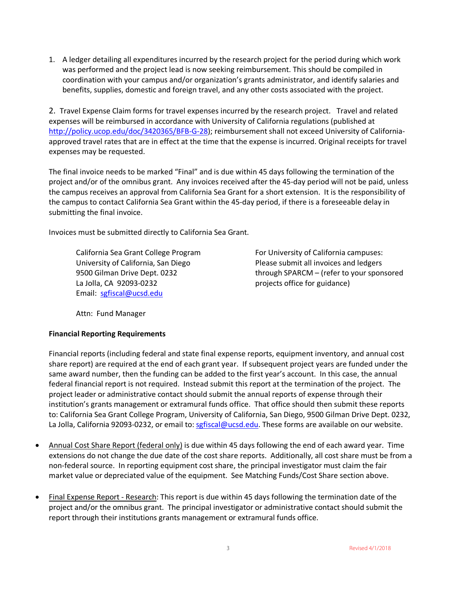1. A ledger detailing all expenditures incurred by the research project for the period during which work was performed and the project lead is now seeking reimbursement. This should be compiled in coordination with your campus and/or organization's grants administrator, and identify salaries and benefits, supplies, domestic and foreign travel, and any other costs associated with the project.

2. Travel Expense Claim forms for travel expenses incurred by the research project. Travel and related expenses will be reimbursed in accordance with University of California regulations (published at http://policy.ucop.edu/doc/3420365/BFB-G-28); reimbursement shall not exceed University of Californiaapproved travel rates that are in effect at the time that the expense is incurred. Original receipts for travel expenses may be requested.

The final invoice needs to be marked "Final" and is due within 45 days following the termination of the project and/or of the omnibus grant. Any invoices received after the 45-day period will not be paid, unless the campus receives an approval from California Sea Grant for a short extension. It is the responsibility of the campus to contact California Sea Grant within the 45-day period, if there is a foreseeable delay in submitting the final invoice.

Invoices must be submitted directly to California Sea Grant.

La Jolla, CA 92093-0232 **Example 20 Figure 12 and 4** projects office for guidance) Email: sgfiscal@ucsd.edu

California Sea Grant College Program For University of California campuses: University of California, San Diego Please submit all invoices and ledgers 9500 Gilman Drive Dept. 0232 through SPARCM – (refer to your sponsored

Attn: Fund Manager

#### **Financial Reporting Requirements**

Financial reports (including federal and state final expense reports, equipment inventory, and annual cost share report) are required at the end of each grant year. If subsequent project years are funded under the same award number, then the funding can be added to the first year's account. In this case, the annual federal financial report is not required. Instead submit this report at the termination of the project. The project leader or administrative contact should submit the annual reports of expense through their institution's grants management or extramural funds office. That office should then submit these reports to: California Sea Grant College Program, University of California, San Diego, 9500 Gilman Drive Dept. 0232, La Jolla, California 92093-0232, or email to: sgfiscal@ucsd.edu. These forms are available on our website.

- Annual Cost Share Report (federal only) is due within 45 days following the end of each award year. Time extensions do not change the due date of the cost share reports. Additionally, all cost share must be from a non-federal source. In reporting equipment cost share, the principal investigator must claim the fair market value or depreciated value of the equipment. See Matching Funds/Cost Share section above.
- Final Expense Report Research: This report is due within 45 days following the termination date of the project and/or the omnibus grant. The principal investigator or administrative contact should submit the report through their institutions grants management or extramural funds office.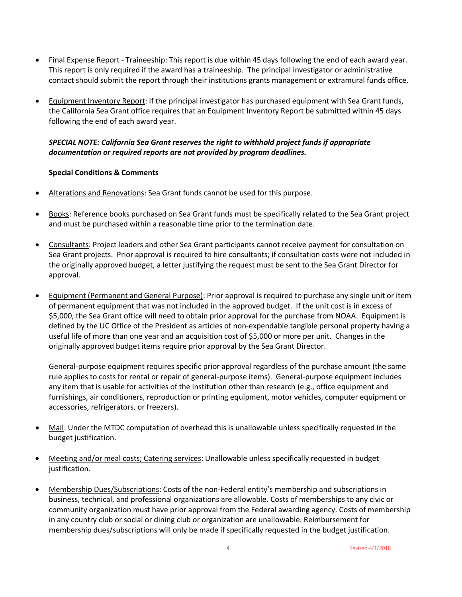- Final Expense Report Traineeship: This report is due within 45 days following the end of each award year. This report is only required if the award has a traineeship. The principal investigator or administrative contact should submit the report through their institutions grants management or extramural funds office.
- Equipment Inventory Report: If the principal investigator has purchased equipment with Sea Grant funds, the California Sea Grant office requires that an Equipment Inventory Report be submitted within 45 days following the end of each award year.

#### *SPECIAL NOTE: California Sea Grant reserves the right to withhold project funds if appropriate documentation or required reports are not provided by program deadlines.*

#### **Special Conditions & Comments**

- Alterations and Renovations: Sea Grant funds cannot be used for this purpose.
- Books: Reference books purchased on Sea Grant funds must be specifically related to the Sea Grant project and must be purchased within a reasonable time prior to the termination date.
- Consultants: Project leaders and other Sea Grant participants cannot receive payment for consultation on Sea Grant projects. Prior approval is required to hire consultants; if consultation costs were not included in the originally approved budget, a letter justifying the request must be sent to the Sea Grant Director for approval.
- Equipment (Permanent and General Purpose): Prior approval is required to purchase any single unit or item of permanent equipment that was not included in the approved budget. If the unit cost is in excess of \$5,000, the Sea Grant office will need to obtain prior approval for the purchase from NOAA. Equipment is defined by the UC Office of the President as articles of non-expendable tangible personal property having a useful life of more than one year and an acquisition cost of \$5,000 or more per unit. Changes in the originally approved budget items require prior approval by the Sea Grant Director.

General-purpose equipment requires specific prior approval regardless of the purchase amount (the same rule applies to costs for rental or repair of general-purpose items). General-purpose equipment includes any item that is usable for activities of the institution other than research (e.g., office equipment and furnishings, air conditioners, reproduction or printing equipment, motor vehicles, computer equipment or accessories, refrigerators, or freezers).

- Mail: Under the MTDC computation of overhead this is unallowable unless specifically requested in the budget justification.
- Meeting and/or meal costs; Catering services: Unallowable unless specifically requested in budget justification.
- Membership Dues/Subscriptions: Costs of the non-Federal entity's membership and subscriptions in business, technical, and professional organizations are allowable. Costs of memberships to any civic or community organization must have prior approval from the Federal awarding agency. Costs of membership in any country club or social or dining club or organization are unallowable. Reimbursement for membership dues/subscriptions will only be made if specifically requested in the budget justification.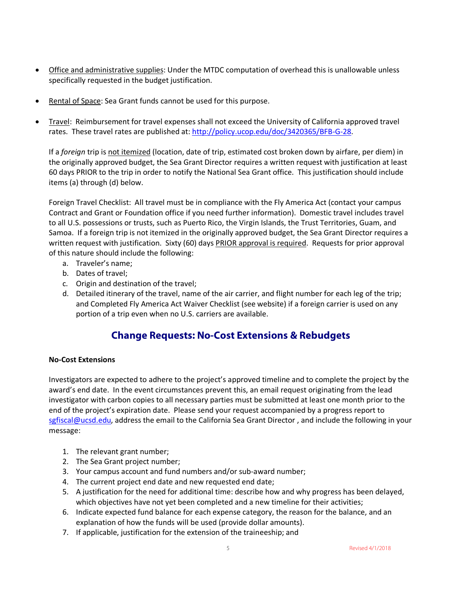- Office and administrative supplies: Under the MTDC computation of overhead this is unallowable unless specifically requested in the budget justification.
- Rental of Space: Sea Grant funds cannot be used for this purpose.
- Travel: Reimbursement for travel expenses shall not exceed the University of California approved travel rates. These travel rates are published at: http://policy.ucop.edu/doc/3420365/BFB-G-28.

If a *foreign* trip is not itemized (location, date of trip, estimated cost broken down by airfare, per diem) in the originally approved budget, the Sea Grant Director requires a written request with justification at least 60 days PRIOR to the trip in order to notify the National Sea Grant office. This justification should include items (a) through (d) below.

Foreign Travel Checklist: All travel must be in compliance with the Fly America Act (contact your campus Contract and Grant or Foundation office if you need further information). Domestic travel includes travel to all U.S. possessions or trusts, such as Puerto Rico, the Virgin Islands, the Trust Territories, Guam, and Samoa. If a foreign trip is not itemized in the originally approved budget, the Sea Grant Director requires a written request with justification. Sixty (60) days PRIOR approval is required. Requests for prior approval of this nature should include the following:

- a. Traveler's name;
- b. Dates of travel;
- c. Origin and destination of the travel;
- d. Detailed itinerary of the travel, name of the air carrier, and flight number for each leg of the trip; and Completed Fly America Act Waiver Checklist (see website) if a foreign carrier is used on any portion of a trip even when no U.S. carriers are available.

## **Change Requests: No-Cost Extensions & Rebudgets**

#### **No-Cost Extensions**

Investigators are expected to adhere to the project's approved timeline and to complete the project by the award's end date. In the event circumstances prevent this, an email request originating from the lead investigator with carbon copies to all necessary parties must be submitted at least one month prior to the end of the project's expiration date. Please send your request accompanied by a progress report to sgfiscal@ucsd.edu, address the email to the California Sea Grant Director, and include the following in your message:

- 1. The relevant grant number;
- 2. The Sea Grant project number;
- 3. Your campus account and fund numbers and/or sub-award number;
- 4. The current project end date and new requested end date;
- 5. A justification for the need for additional time: describe how and why progress has been delayed, which objectives have not yet been completed and a new timeline for their activities;
- 6. Indicate expected fund balance for each expense category, the reason for the balance, and an explanation of how the funds will be used (provide dollar amounts).
- 7. If applicable, justification for the extension of the traineeship; and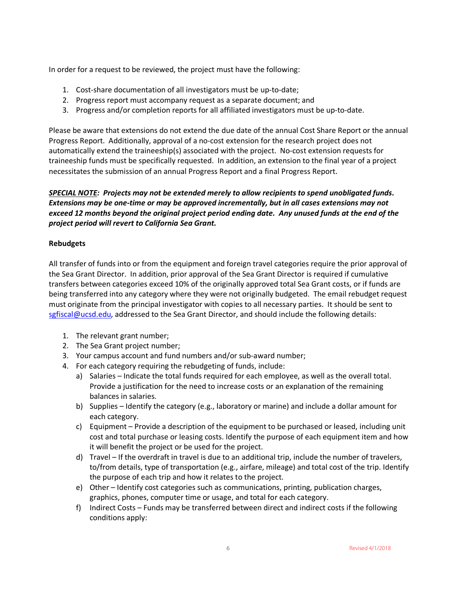In order for a request to be reviewed, the project must have the following:

- 1. Cost-share documentation of all investigators must be up-to-date;
- 2. Progress report must accompany request as a separate document; and
- 3. Progress and/or completion reports for all affiliated investigators must be up-to-date.

Please be aware that extensions do not extend the due date of the annual Cost Share Report or the annual Progress Report. Additionally, approval of a no-cost extension for the research project does not automatically extend the traineeship(s) associated with the project. No-cost extension requests for traineeship funds must be specifically requested. In addition, an extension to the final year of a project necessitates the submission of an annual Progress Report and a final Progress Report.

#### *SPECIAL NOTE: Projects may not be extended merely to allow recipients to spend unobligated funds. Extensions may be one-time or may be approved incrementally, but in all cases extensions may not exceed 12 months beyond the original project period ending date. Any unused funds at the end of the project period will revert to California Sea Grant.*

#### **Rebudgets**

All transfer of funds into or from the equipment and foreign travel categories require the prior approval of the Sea Grant Director. In addition, prior approval of the Sea Grant Director is required if cumulative transfers between categories exceed 10% of the originally approved total Sea Grant costs, or if funds are being transferred into any category where they were not originally budgeted. The email rebudget request must originate from the principal investigator with copies to all necessary parties. It should be sent to sgfiscal@ucsd.edu, addressed to the Sea Grant Director, and should include the following details:

- 1. The relevant grant number;
- 2. The Sea Grant project number;
- 3. Your campus account and fund numbers and/or sub-award number;
- 4. For each category requiring the rebudgeting of funds, include:
	- a) Salaries Indicate the total funds required for each employee, as well as the overall total. Provide a justification for the need to increase costs or an explanation of the remaining balances in salaries.
	- b) Supplies Identify the category (e.g., laboratory or marine) and include a dollar amount for each category.
	- c) Equipment Provide a description of the equipment to be purchased or leased, including unit cost and total purchase or leasing costs. Identify the purpose of each equipment item and how it will benefit the project or be used for the project.
	- d) Travel If the overdraft in travel is due to an additional trip, include the number of travelers, to/from details, type of transportation (e.g., airfare, mileage) and total cost of the trip. Identify the purpose of each trip and how it relates to the project.
	- e) Other Identify cost categories such as communications, printing, publication charges, graphics, phones, computer time or usage, and total for each category.
	- f) Indirect Costs Funds may be transferred between direct and indirect costs if the following conditions apply: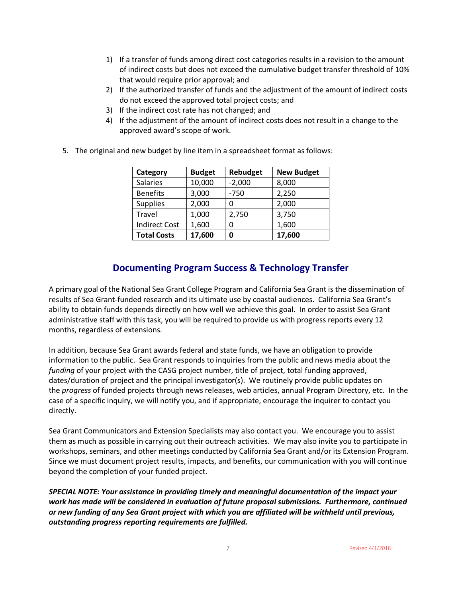- 1) If a transfer of funds among direct cost categories results in a revision to the amount of indirect costs but does not exceed the cumulative budget transfer threshold of 10% that would require prior approval; and
- 2) If the authorized transfer of funds and the adjustment of the amount of indirect costs do not exceed the approved total project costs; and
- 3) If the indirect cost rate has not changed; and
- 4) If the adjustment of the amount of indirect costs does not result in a change to the approved award's scope of work.
- 5. The original and new budget by line item in a spreadsheet format as follows:

| Category             | <b>Budget</b> | Rebudget | <b>New Budget</b> |
|----------------------|---------------|----------|-------------------|
| <b>Salaries</b>      | 10,000        | $-2,000$ | 8,000             |
| <b>Benefits</b>      | 3,000         | $-750$   | 2,250             |
| <b>Supplies</b>      | 2,000         | 0        | 2,000             |
| Travel               | 1,000         | 2,750    | 3,750             |
| <b>Indirect Cost</b> | 1,600         | O        | 1,600             |
| <b>Total Costs</b>   | 17,600        | Ω        | 17,600            |

## **Documenting Program Success & Technology Transfer**

A primary goal of the National Sea Grant College Program and California Sea Grant is the dissemination of results of Sea Grant-funded research and its ultimate use by coastal audiences. California Sea Grant's ability to obtain funds depends directly on how well we achieve this goal. In order to assist Sea Grant administrative staff with this task, you will be required to provide us with progress reports every 12 months, regardless of extensions.

In addition, because Sea Grant awards federal and state funds, we have an obligation to provide information to the public. Sea Grant responds to inquiries from the public and news media about the *funding* of your project with the CASG project number, title of project, total funding approved, dates/duration of project and the principal investigator(s). We routinely provide public updates on the *progress* of funded projects through news releases, web articles, annual Program Directory, etc. In the case of a specific inquiry, we will notify you, and if appropriate, encourage the inquirer to contact you directly.

Sea Grant Communicators and Extension Specialists may also contact you. We encourage you to assist them as much as possible in carrying out their outreach activities. We may also invite you to participate in workshops, seminars, and other meetings conducted by California Sea Grant and/or its Extension Program. Since we must document project results, impacts, and benefits, our communication with you will continue beyond the completion of your funded project.

*SPECIAL NOTE: Your assistance in providing timely and meaningful documentation of the impact your work has made will be considered in evaluation of future proposal submissions. Furthermore, continued or new funding of any Sea Grant project with which you are affiliated will be withheld until previous, outstanding progress reporting requirements are fulfilled.*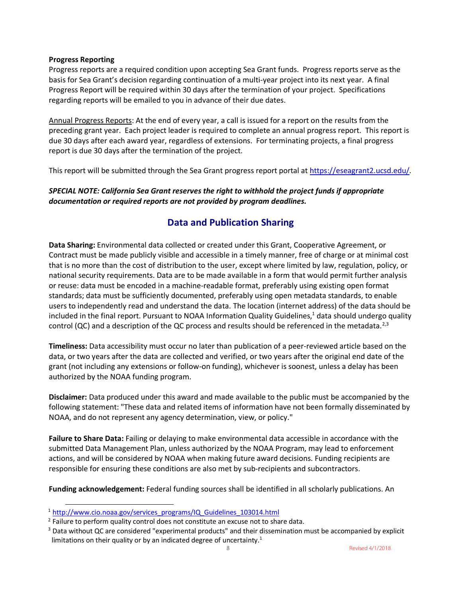#### **Progress Reporting**

Progress reports are a required condition upon accepting Sea Grant funds. Progress reports serve as the basis for Sea Grant's decision regarding continuation of a multi-year project into its next year. A final Progress Report will be required within 30 days after the termination of your project. Specifications regarding reports will be emailed to you in advance of their due dates.

Annual Progress Reports: At the end of every year, a call is issued for a report on the results from the preceding grant year. Each project leader is required to complete an annual progress report. This report is due 30 days after each award year, regardless of extensions. For terminating projects, a final progress report is due 30 days after the termination of the project.

This report will be submitted through the Sea Grant progress report portal at https://eseagrant2.ucsd.edu/.

#### *SPECIAL NOTE: California Sea Grant reserves the right to withhold the project funds if appropriate documentation or required reports are not provided by program deadlines.*

## **Data and Publication Sharing**

**Data Sharing:** Environmental data collected or created under this Grant, Cooperative Agreement, or Contract must be made publicly visible and accessible in a timely manner, free of charge or at minimal cost that is no more than the cost of distribution to the user, except where limited by law, regulation, policy, or national security requirements. Data are to be made available in a form that would permit further analysis or reuse: data must be encoded in a machine-readable format, preferably using existing open format standards; data must be sufficiently documented, preferably using open metadata standards, to enable users to independently read and understand the data. The location (internet address) of the data should be included in the final report. Pursuant to NOAA Information Quality Guidelines, $1$  data should undergo quality control (QC) and a description of the QC process and results should be referenced in the metadata.<sup>2,3</sup>

**Timeliness:** Data accessibility must occur no later than publication of a peer-reviewed article based on the data, or two years after the data are collected and verified, or two years after the original end date of the grant (not including any extensions or follow-on funding), whichever is soonest, unless a delay has been authorized by the NOAA funding program.

**Disclaimer:** Data produced under this award and made available to the public must be accompanied by the following statement: "These data and related items of information have not been formally disseminated by NOAA, and do not represent any agency determination, view, or policy."

**Failure to Share Data:** Failing or delaying to make environmental data accessible in accordance with the submitted Data Management Plan, unless authorized by the NOAA Program, may lead to enforcement actions, and will be considered by NOAA when making future award decisions. Funding recipients are responsible for ensuring these conditions are also met by sub-recipients and subcontractors.

**Funding acknowledgement:** Federal funding sources shall be identified in all scholarly publications. An

 $\overline{a}$ 

<sup>&</sup>lt;sup>1</sup> http://www.cio.noaa.gov/services\_programs/IQ\_Guidelines\_103014.html

<sup>&</sup>lt;sup>2</sup> Failure to perform quality control does not constitute an excuse not to share data.

<sup>&</sup>lt;sup>3</sup> Data without QC are considered "experimental products" and their dissemination must be accompanied by explicit limitations on their quality or by an indicated degree of uncertainty.<sup>1</sup>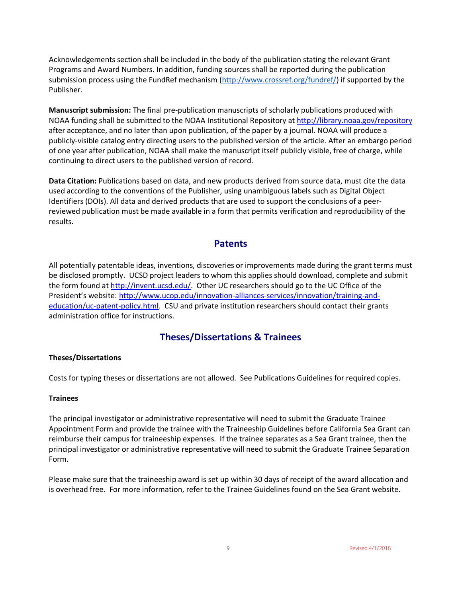Acknowledgements section shall be included in the body of the publication stating the relevant Grant Programs and Award Numbers. In addition, funding sources shall be reported during the publication submission process using the FundRef mechanism (http://www.crossref.org/fundref/) if supported by the Publisher.

**Manuscript submission:** The final pre-publication manuscripts of scholarly publications produced with NOAA funding shall be submitted to the NOAA Institutional Repository at http://library.noaa.gov/repository after acceptance, and no later than upon publication, of the paper by a journal. NOAA will produce a publicly-visible catalog entry directing users to the published version of the article. After an embargo period of one year after publication, NOAA shall make the manuscript itself publicly visible, free of charge, while continuing to direct users to the published version of record.

**Data Citation:** Publications based on data, and new products derived from source data, must cite the data used according to the conventions of the Publisher, using unambiguous labels such as Digital Object Identifiers (DOIs). All data and derived products that are used to support the conclusions of a peerreviewed publication must be made available in a form that permits verification and reproducibility of the results.

#### **Patents**

All potentially patentable ideas, inventions, discoveries or improvements made during the grant terms must be disclosed promptly. UCSD project leaders to whom this applies should download, complete and submit the form found at http://invent.ucsd.edu/. Other UC researchers should go to the UC Office of the President's website: http://www.ucop.edu/innovation-alliances-services/innovation/training-andeducation/uc-patent-policy.html. CSU and private institution researchers should contact their grants administration office for instructions.

### **Theses/Dissertations & Trainees**

#### **Theses/Dissertations**

Costs for typing theses or dissertations are not allowed. See Publications Guidelines for required copies.

#### **Trainees**

The principal investigator or administrative representative will need to submit the Graduate Trainee Appointment Form and provide the trainee with the Traineeship Guidelines before California Sea Grant can reimburse their campus for traineeship expenses. If the trainee separates as a Sea Grant trainee, then the principal investigator or administrative representative will need to submit the Graduate Trainee Separation Form.

Please make sure that the traineeship award is set up within 30 days of receipt of the award allocation and is overhead free. For more information, refer to the Trainee Guidelines found on the Sea Grant website.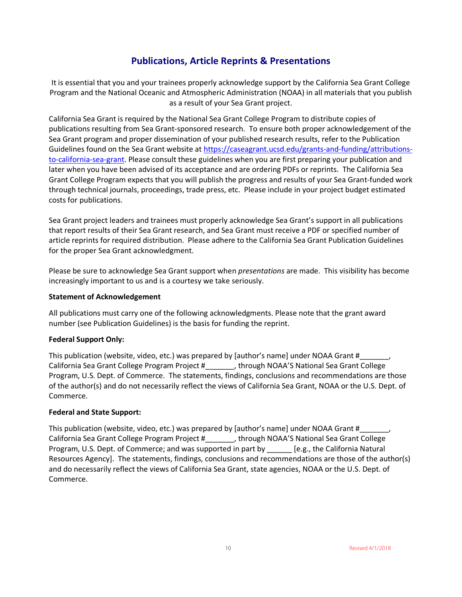## **Publications, Article Reprints & Presentations**

It is essential that you and your trainees properly acknowledge support by the California Sea Grant College Program and the National Oceanic and Atmospheric Administration (NOAA) in all materials that you publish as a result of your Sea Grant project.

California Sea Grant is required by the National Sea Grant College Program to distribute copies of publications resulting from Sea Grant-sponsored research. To ensure both proper acknowledgement of the Sea Grant program and proper dissemination of your published research results, refer to the Publication Guidelines found on the Sea Grant website at https://caseagrant.ucsd.edu/grants-and-funding/attributionsto-california-sea-grant. Please consult these guidelines when you are first preparing your publication and later when you have been advised of its acceptance and are ordering PDFs or reprints. The California Sea Grant College Program expects that you will publish the progress and results of your Sea Grant-funded work through technical journals, proceedings, trade press, etc. Please include in your project budget estimated costs for publications.

Sea Grant project leaders and trainees must properly acknowledge Sea Grant's support in all publications that report results of their Sea Grant research, and Sea Grant must receive a PDF or specified number of article reprints for required distribution. Please adhere to the California Sea Grant Publication Guidelines for the proper Sea Grant acknowledgment.

Please be sure to acknowledge Sea Grant support when *presentations* are made. This visibility has become increasingly important to us and is a courtesy we take seriously.

#### **Statement of Acknowledgement**

All publications must carry one of the following acknowledgments. Please note that the grant award number (see Publication Guidelines) is the basis for funding the reprint.

#### **Federal Support Only:**

This publication (website, video, etc.) was prepared by [author's name] under NOAA Grant #\_\_\_\_ California Sea Grant College Program Project #\_\_\_\_\_\_\_, through NOAA'S National Sea Grant College Program, U.S. Dept. of Commerce. The statements, findings, conclusions and recommendations are those of the author(s) and do not necessarily reflect the views of California Sea Grant, NOAA or the U.S. Dept. of Commerce.

#### **Federal and State Support:**

This publication (website, video, etc.) was prepared by [author's name] under NOAA Grant #\_\_\_\_ California Sea Grant College Program Project #\_\_\_\_\_\_\_, through NOAA'S National Sea Grant College Program, U.S. Dept. of Commerce; and was supported in part by [e.g., the California Natural Resources Agency]. The statements, findings, conclusions and recommendations are those of the author(s) and do necessarily reflect the views of California Sea Grant, state agencies, NOAA or the U.S. Dept. of Commerce.